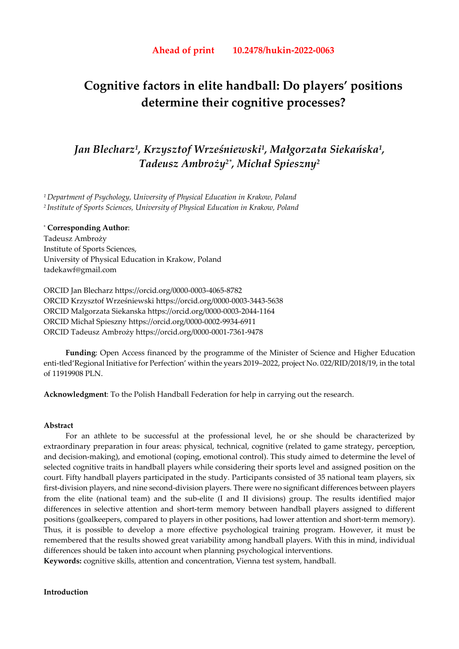# **Cognitive factors in elite handball: Do players' positions determine their cognitive processes?**

## *Jan Blecharz1, Krzysztof Wrześniewski1, Małgorzata Siekańska1, Tadeusz Ambroży2\*, Michał Spieszny2*

*1 Department of Psychology, University of Physical Education in Krakow, Poland 2 Institute of Sports Sciences, University of Physical Education in Krakow, Poland*

## \* **Corresponding Author**: Tadeusz Ambroży Institute of Sports Sciences, University of Physical Education in Krakow, Poland tadekawf@gmail.com

ORCID Jan Blecharz https://orcid.org/0000-0003-4065-8782 ORCID Krzysztof Wrześniewski https://orcid.org/0000-0003-3443-5638 ORCID Malgorzata Siekanska https://orcid.org/0000-0003-2044-1164 ORCID Michał Spieszny https://orcid.org/0000-0002-9934-6911 ORCID Tadeusz Ambroży https://orcid.org/0000-0001-7361-9478

**Funding**: Open Access financed by the programme of the Minister of Science and Higher Education enti-tled'Regional Initiative for Perfection' within the years 2019–2022, project No. 022/RID/2018/19, in the total of 11919908 PLN.

**Acknowledgment**: To the Polish Handball Federation for help in carrying out the research.

## **Abstract**

For an athlete to be successful at the professional level, he or she should be characterized by extraordinary preparation in four areas: physical, technical, cognitive (related to game strategy, perception, and decision-making), and emotional (coping, emotional control). This study aimed to determine the level of selected cognitive traits in handball players while considering their sports level and assigned position on the court. Fifty handball players participated in the study. Participants consisted of 35 national team players, six first-division players, and nine second-division players. There were no significant differences between players from the elite (national team) and the sub-elite (I and II divisions) group. The results identified major differences in selective attention and short-term memory between handball players assigned to different positions (goalkeepers, compared to players in other positions, had lower attention and short-term memory). Thus, it is possible to develop a more effective psychological training program. However, it must be remembered that the results showed great variability among handball players. With this in mind, individual differences should be taken into account when planning psychological interventions.

**Keywords:** cognitive skills, attention and concentration, Vienna test system, handball.

## **Introduction**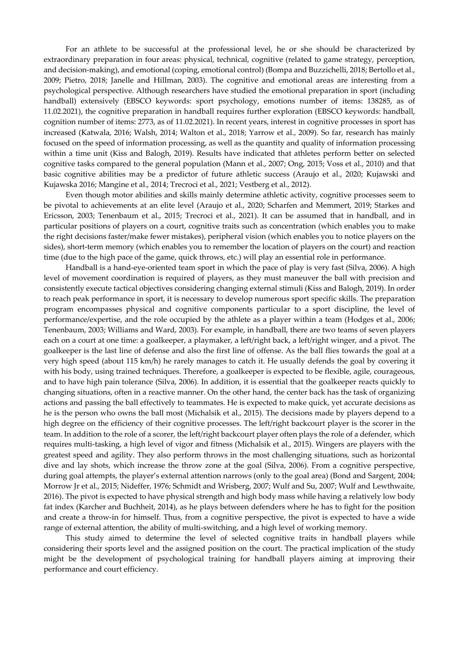For an athlete to be successful at the professional level, he or she should be characterized by extraordinary preparation in four areas: physical, technical, cognitive (related to game strategy, perception, and decision-making), and emotional (coping, emotional control) (Bompa and Buzzichelli, 2018; Bertollo et al., 2009; Pietro, 2018; Janelle and Hillman, 2003). The cognitive and emotional areas are interesting from a psychological perspective. Although researchers have studied the emotional preparation in sport (including handball) extensively (EBSCO keywords: sport psychology, emotions number of items: 138285, as of 11.02.2021), the cognitive preparation in handball requires further exploration (EBSCO keywords: handball, cognition number of items: 2773, as of 11.02.2021). In recent years, interest in cognitive processes in sport has increased (Katwala, 2016; Walsh, 2014; Walton et al., 2018; Yarrow et al., 2009). So far, research has mainly focused on the speed of information processing, as well as the quantity and quality of information processing within a time unit (Kiss and Balogh, 2019). Results have indicated that athletes perform better on selected cognitive tasks compared to the general population (Mann et al., 2007; Ong, 2015; Voss et al., 2010) and that basic cognitive abilities may be a predictor of future athletic success (Araujo et al., 2020; Kujawski and Kujawska 2016; Mangine et al., 2014; Trecroci et al., 2021; Vestberg et al., 2012).

Even though motor abilities and skills mainly determine athletic activity, cognitive processes seem to be pivotal to achievements at an elite level (Araujo et al., 2020; Scharfen and Memmert, 2019; Starkes and Ericsson, 2003; Tenenbaum et al., 2015; Trecroci et al., 2021). It can be assumed that in handball, and in particular positions of players on a court, cognitive traits such as concentration (which enables you to make the right decisions faster/make fewer mistakes), peripheral vision (which enables you to notice players on the sides), short-term memory (which enables you to remember the location of players on the court) and reaction time (due to the high pace of the game, quick throws, etc.) will play an essential role in performance.

Handball is a hand-eye-oriented team sport in which the pace of play is very fast (Silva, 2006). A high level of movement coordination is required of players, as they must maneuver the ball with precision and consistently execute tactical objectives considering changing external stimuli (Kiss and Balogh, 2019). In order to reach peak performance in sport, it is necessary to develop numerous sport specific skills. The preparation program encompasses physical and cognitive components particular to a sport discipline, the level of performance/expertise, and the role occupied by the athlete as a player within a team (Hodges et al., 2006; Tenenbaum, 2003; Williams and Ward, 2003). For example, in handball, there are two teams of seven players each on a court at one time: a goalkeeper, a playmaker, a left/right back, a left/right winger, and a pivot. The goalkeeper is the last line of defense and also the first line of offense. As the ball flies towards the goal at a very high speed (about 115 km/h) he rarely manages to catch it. He usually defends the goal by covering it with his body, using trained techniques. Therefore, a goalkeeper is expected to be flexible, agile, courageous, and to have high pain tolerance (Silva, 2006). In addition, it is essential that the goalkeeper reacts quickly to changing situations, often in a reactive manner. On the other hand, the center back has the task of organizing actions and passing the ball effectively to teammates. He is expected to make quick, yet accurate decisions as he is the person who owns the ball most (Michalsik et al., 2015). The decisions made by players depend to a high degree on the efficiency of their cognitive processes. The left/right backcourt player is the scorer in the team. In addition to the role of a scorer, the left/right backcourt player often plays the role of a defender, which requires multi-tasking, a high level of vigor and fitness (Michalsik et al., 2015). Wingers are players with the greatest speed and agility. They also perform throws in the most challenging situations, such as horizontal dive and lay shots, which increase the throw zone at the goal (Silva, 2006). From a cognitive perspective, during goal attempts, the player's external attention narrows (only to the goal area) (Bond and Sargent, 2004; Morrow Jr et al., 2015; Nideffer, 1976; Schmidt and Wrisberg, 2007; Wulf and Su, 2007; Wulf and Lewthwaite, 2016). The pivot is expected to have physical strength and high body mass while having a relatively low body fat index (Karcher and Buchheit, 2014), as he plays between defenders where he has to fight for the position and create a throw-in for himself. Thus, from a cognitive perspective, the pivot is expected to have a wide range of external attention, the ability of multi-switching, and a high level of working memory.

This study aimed to determine the level of selected cognitive traits in handball players while considering their sports level and the assigned position on the court. The practical implication of the study might be the development of psychological training for handball players aiming at improving their performance and court efficiency.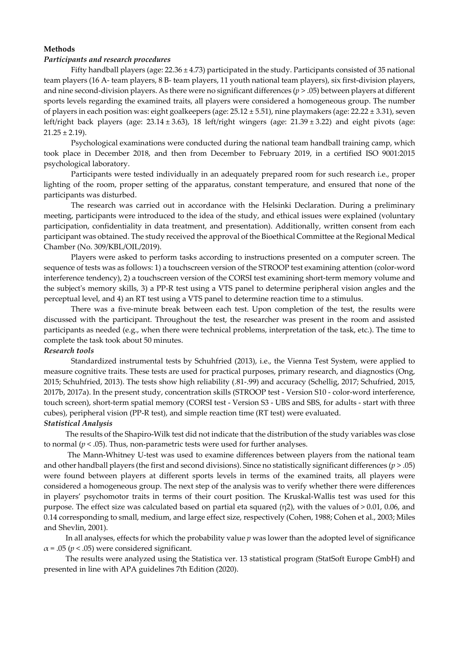## **Methods**

## *Participants and research procedures*

Fifty handball players (age: 22.36 ± 4.73) participated in the study. Participants consisted of 35 national team players (16 A- team players, 8 B- team players, 11 youth national team players), six first-division players, and nine second-division players. As there were no significant differences (*p* > .05) between players at different sports levels regarding the examined traits, all players were considered a homogeneous group. The number of players in each position was: eight goalkeepers (age:  $25.12 \pm 5.51$ ), nine playmakers (age:  $22.22 \pm 3.31$ ), seven left/right back players (age: 23.14 ± 3.63), 18 left/right wingers (age: 21.39 ± 3.22) and eight pivots (age:  $21.25 \pm 2.19$ ).

Psychological examinations were conducted during the national team handball training camp, which took place in December 2018, and then from December to February 2019, in a certified ISO 9001:2015 psychological laboratory.

Participants were tested individually in an adequately prepared room for such research i.e., proper lighting of the room, proper setting of the apparatus, constant temperature, and ensured that none of the participants was disturbed.

The research was carried out in accordance with the Helsinki Declaration. During a preliminary meeting, participants were introduced to the idea of the study, and ethical issues were explained (voluntary participation, confidentiality in data treatment, and presentation). Additionally, written consent from each participant was obtained. The study received the approval of the Bioethical Committee at the Regional Medical Chamber (No. 309/KBL/OIL/2019).

Players were asked to perform tasks according to instructions presented on a computer screen. The sequence of tests was as follows: 1) a touchscreen version of the STROOP test examining attention (color-word interference tendency), 2) a touchscreen version of the CORSI test examining short-term memory volume and the subject's memory skills, 3) a PP-R test using a VTS panel to determine peripheral vision angles and the perceptual level, and 4) an RT test using a VTS panel to determine reaction time to a stimulus.

There was a five-minute break between each test. Upon completion of the test, the results were discussed with the participant. Throughout the test, the researcher was present in the room and assisted participants as needed (e.g., when there were technical problems, interpretation of the task, etc.). The time to complete the task took about 50 minutes.

## *Research tools*

Standardized instrumental tests by Schuhfried (2013), i.e., the Vienna Test System, were applied to measure cognitive traits. These tests are used for practical purposes, primary research, and diagnostics (Ong, 2015; Schuhfried, 2013). The tests show high reliability (.81-.99) and accuracy (Schellig, 2017; Schufried, 2015, 2017b, 2017a). In the present study, concentration skills (STROOP test - Version S10 - color-word interference, touch screen), short-term spatial memory (CORSI test - Version S3 - UBS and SBS, for adults - start with three cubes), peripheral vision (PP-R test), and simple reaction time (RT test) were evaluated.

## *Statistical Analysis*

The results of the Shapiro-Wilk test did not indicate that the distribution of the study variables was close to normal  $(p < .05)$ . Thus, non-parametric tests were used for further analyses.

 The Mann-Whitney U-test was used to examine differences between players from the national team and other handball players (the first and second divisions). Since no statistically significant differences (*p* > .05) were found between players at different sports levels in terms of the examined traits, all players were considered a homogeneous group. The next step of the analysis was to verify whether there were differences in players' psychomotor traits in terms of their court position. The Kruskal-Wallis test was used for this purpose. The effect size was calculated based on partial eta squared (η2), with the values of  $> 0.01$ , 0.06, and 0.14 corresponding to small, medium, and large effect size, respectively (Cohen, 1988; Cohen et al., 2003; Miles and Shevlin, 2001).

In all analyses, effects for which the probability value *p* was lower than the adopted level of significance  $\alpha$  = .05 ( $p$  < .05) were considered significant.

The results were analyzed using the Statistica ver. 13 statistical program (StatSoft Europe GmbH) and presented in line with APA guidelines 7th Edition (2020).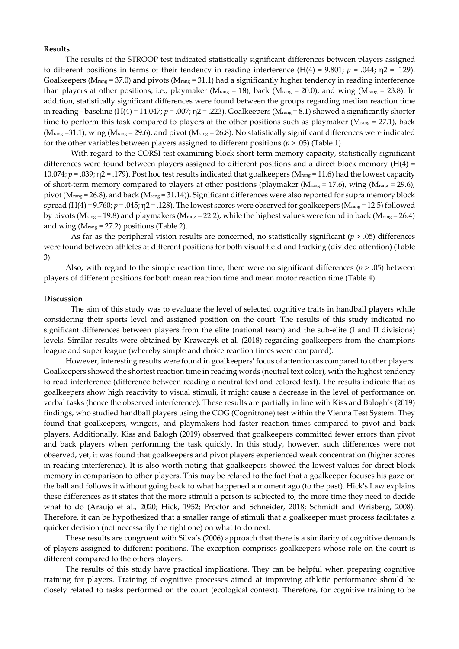#### **Results**

The results of the STROOP test indicated statistically significant differences between players assigned to different positions in terms of their tendency in reading interference (H(4) = 9.801; *p* = .044; η2 = .129). Goalkeepers ( $M_{\text{rang}} = 37.0$ ) and pivots ( $M_{\text{rang}} = 31.1$ ) had a significantly higher tendency in reading interference than players at other positions, i.e., playmaker (Mrang = 18), back (Mrang = 20.0), and wing (Mrang = 23.8). In addition, statistically significant differences were found between the groups regarding median reaction time in reading - baseline  $(H(4) = 14.047; p = .007; \eta^2 = .223)$ . Goalkeepers ( $M_{rang} = 8.1$ ) showed a significantly shorter time to perform this task compared to players at the other positions such as playmaker ( $M<sub>rang</sub> = 27.1$ ), back  $(M_{rang} = 31.1)$ , wing  $(M_{rang} = 29.6)$ , and pivot  $(M_{rang} = 26.8)$ . No statistically significant differences were indicated for the other variables between players assigned to different positions (*p* > .05) (Table.1).

With regard to the CORSI test examining block short-term memory capacity, statistically significant differences were found between players assigned to different positions and a direct block memory (H(4) = 10.074;  $p = 0.039$ ;  $\eta$ 2 = .179). Post hoc test results indicated that goalkeepers (M<sub>rang</sub> = 11.6) had the lowest capacity of short-term memory compared to players at other positions (playmaker ( $M_{rang}$  = 17.6), wing ( $M_{rang}$  = 29.6), pivot (Mrang = 26.8), and back (Mrang = 31.14)). Significant differences were also reported for supra memory block spread  $(H(4) = 9.760; p = .045; \eta2 = .128)$ . The lowest scores were observed for goalkeepers (M<sub>rang</sub> = 12.5) followed by pivots (Mrang = 19.8) and playmakers (Mrang = 22.2), while the highest values were found in back (Mrang = 26.4) and wing  $(M_{range} = 27.2)$  positions (Table 2).

As far as the peripheral vision results are concerned, no statistically significant (*p* > .05) differences were found between athletes at different positions for both visual field and tracking (divided attention) (Table 3).

Also, with regard to the simple reaction time, there were no significant differences  $(p > .05)$  between players of different positions for both mean reaction time and mean motor reaction time (Table 4).

### **Discussion**

 The aim of this study was to evaluate the level of selected cognitive traits in handball players while considering their sports level and assigned position on the court. The results of this study indicated no significant differences between players from the elite (national team) and the sub-elite (I and II divisions) levels. Similar results were obtained by Krawczyk et al. (2018) regarding goalkeepers from the champions league and super league (whereby simple and choice reaction times were compared).

However, interesting results were found in goalkeepers' focus of attention as compared to other players. Goalkeepers showed the shortest reaction time in reading words (neutral text color), with the highest tendency to read interference (difference between reading a neutral text and colored text). The results indicate that as goalkeepers show high reactivity to visual stimuli, it might cause a decrease in the level of performance on verbal tasks (hence the observed interference). These results are partially in line with Kiss and Balogh's (2019) findings, who studied handball players using the COG (Cognitrone) test within the Vienna Test System. They found that goalkeepers, wingers, and playmakers had faster reaction times compared to pivot and back players. Additionally, Kiss and Balogh (2019) observed that goalkeepers committed fewer errors than pivot and back players when performing the task quickly. In this study, however, such differences were not observed, yet, it was found that goalkeepers and pivot players experienced weak concentration (higher scores in reading interference). It is also worth noting that goalkeepers showed the lowest values for direct block memory in comparison to other players. This may be related to the fact that a goalkeeper focuses his gaze on the ball and follows it without going back to what happened a moment ago (to the past). Hick's Law explains these differences as it states that the more stimuli a person is subjected to, the more time they need to decide what to do (Araujo et al., 2020; Hick, 1952; Proctor and Schneider, 2018; Schmidt and Wrisberg, 2008). Therefore, it can be hypothesized that a smaller range of stimuli that a goalkeeper must process facilitates a quicker decision (not necessarily the right one) on what to do next.

These results are congruent with Silva's (2006) approach that there is a similarity of cognitive demands of players assigned to different positions. The exception comprises goalkeepers whose role on the court is different compared to the others players.

The results of this study have practical implications. They can be helpful when preparing cognitive training for players. Training of cognitive processes aimed at improving athletic performance should be closely related to tasks performed on the court (ecological context). Therefore, for cognitive training to be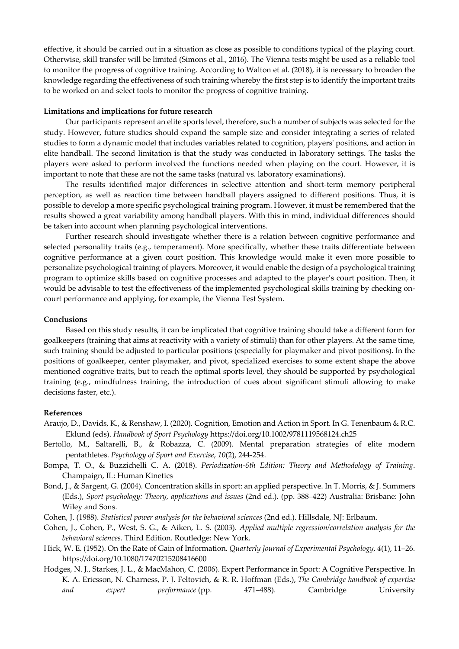effective, it should be carried out in a situation as close as possible to conditions typical of the playing court. Otherwise, skill transfer will be limited (Simons et al., 2016). The Vienna tests might be used as a reliable tool to monitor the progress of cognitive training. According to Walton et al. (2018), it is necessary to broaden the knowledge regarding the effectiveness of such training whereby the first step is to identify the important traits to be worked on and select tools to monitor the progress of cognitive training.

## **Limitations and implications for future research**

Our participants represent an elite sports level, therefore, such a number of subjects was selected for the study. However, future studies should expand the sample size and consider integrating a series of related studies to form a dynamic model that includes variables related to cognition, players' positions, and action in elite handball. The second limitation is that the study was conducted in laboratory settings. The tasks the players were asked to perform involved the functions needed when playing on the court. However, it is important to note that these are not the same tasks (natural vs. laboratory examinations).

The results identified major differences in selective attention and short-term memory peripheral perception, as well as reaction time between handball players assigned to different positions. Thus, it is possible to develop a more specific psychological training program. However, it must be remembered that the results showed a great variability among handball players. With this in mind, individual differences should be taken into account when planning psychological interventions.

Further research should investigate whether there is a relation between cognitive performance and selected personality traits (e.g., temperament). More specifically, whether these traits differentiate between cognitive performance at a given court position. This knowledge would make it even more possible to personalize psychological training of players. Moreover, it would enable the design of a psychological training program to optimize skills based on cognitive processes and adapted to the player's court position. Then, it would be advisable to test the effectiveness of the implemented psychological skills training by checking oncourt performance and applying, for example, the Vienna Test System.

## **Conclusions**

Based on this study results, it can be implicated that cognitive training should take a different form for goalkeepers (training that aims at reactivity with a variety of stimuli) than for other players. At the same time, such training should be adjusted to particular positions (especially for playmaker and pivot positions). In the positions of goalkeeper, center playmaker, and pivot, specialized exercises to some extent shape the above mentioned cognitive traits, but to reach the optimal sports level, they should be supported by psychological training (e.g., mindfulness training, the introduction of cues about significant stimuli allowing to make decisions faster, etc.).

#### **References**

- Araujo, D., Davids, K., & Renshaw, I. (2020). Cognition, Emotion and Action in Sport. In G. Tenenbaum & R.C. Eklund (eds). *Handbook of Sport Psychology* https://doi.org/10.1002/9781119568124.ch25
- Bertollo, M., Saltarelli, B., & Robazza, C. (2009). Mental preparation strategies of elite modern pentathletes. *Psychology of Sport and Exercise*, *10*(2), 244-254.
- Bompa, T. O., & Buzzichelli C. A. (2018). *Periodization-6th Edition: Theory and Methodology of Training*. Champaign, IL: Human Kinetics
- Bond, J., & Sargent, G. (2004). Concentration skills in sport: an applied perspective. In T. Morris, & J. Summers (Eds.), *Sport psychology: Theory, applications and issues* (2nd ed.). (pp. 388–422) Australia: Brisbane: John Wiley and Sons.
- Cohen, J. (1988). *Statistical power analysis for the behavioral sciences* (2nd ed.). Hillsdale, NJ: Erlbaum.
- Cohen, J., Cohen, P., West, S. G., & Aiken, L. S. (2003). *Applied multiple regression/correlation analysis for the behavioral sciences*. Third Edition. Routledge: New York.
- Hick, W. E. (1952). On the Rate of Gain of Information. *Quarterly Journal of Experimental Psychology*, *4*(1), 11–26. https://doi.org/10.1080/17470215208416600
- Hodges, N. J., Starkes, J. L., & MacMahon, C. (2006). Expert Performance in Sport: A Cognitive Perspective. In K. A. Ericsson, N. Charness, P. J. Feltovich, & R. R. Hoffman (Eds.), *The Cambridge handbook of expertise and expert performance* (pp. 471–488). Cambridge University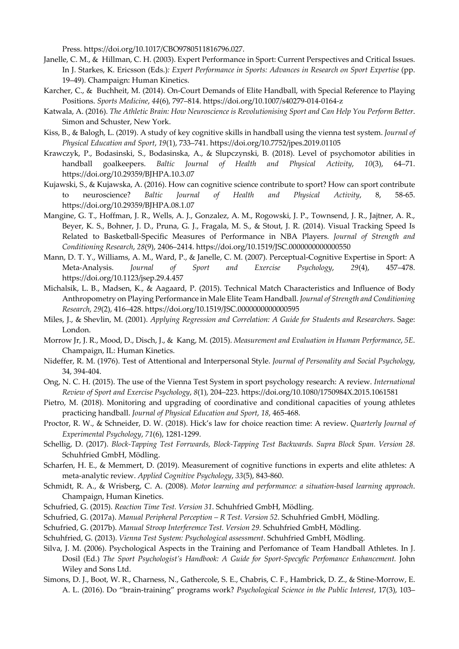Press. https://doi.org/10.1017/CBO9780511816796.027.

- Janelle, C. M., & Hillman, C. H. (2003). Expert Performance in Sport: Current Perspectives and Critical Issues. In J. Starkes, K. Ericsson (Eds.)*: Expert Performance in Sports: Advances in Research on Sport Expertise* (pp. 19–49). Champaign: Human Kinetics.
- Karcher, C., & Buchheit, M. (2014). On-Court Demands of Elite Handball, with Special Reference to Playing Positions. *Sports Medicine*, *44*(6), 797–814. https://doi.org/10.1007/s40279-014-0164-z
- Katwala, A. (2016). *The Athletic Brain: How Neuroscience is Revolutionising Sport and Can Help You Perform Better*. Simon and Schuster, New York.
- Kiss, B., & Balogh, L. (2019). A study of key cognitive skills in handball using the vienna test system. *Journal of Physical Education and Sport*, *19*(1), 733–741. https://doi.org/10.7752/jpes.2019.01105
- Krawczyk, P., Bodasinski, S., Bodasinska, A., & Slupczynski, B. (2018). Level of psychomotor abilities in handball goalkeepers. *Baltic Journal of Health and Physical Activity*, *10*(3), 64–71. https://doi.org/10.29359/BJHPA.10.3.07
- Kujawski, S., & Kujawska, A. (2016). How can cognitive science contribute to sport? How can sport contribute to neuroscience? *Baltic Journal of Health and Physical Activity*, 8, 58-65. https://doi.org/10.29359/BJHPA.08.1.07
- Mangine, G. T., Hoffman, J. R., Wells, A. J., Gonzalez, A. M., Rogowski, J. P., Townsend, J. R., Jajtner, A. R., Beyer, K. S., Bohner, J. D., Pruna, G. J., Fragala, M. S., & Stout, J. R. (2014). Visual Tracking Speed Is Related to Basketball-Specific Measures of Performance in NBA Players. *Journal of Strength and Conditioning Research*, *28*(9), 2406–2414. https://doi.org/10.1519/JSC.0000000000000550
- Mann, D. T. Y., Williams, A. M., Ward, P., & Janelle, C. M. (2007). Perceptual-Cognitive Expertise in Sport: A Meta-Analysis. *Journal of Sport and Exercise Psychology*, *29*(4), 457–478. https://doi.org/10.1123/jsep.29.4.457
- Michalsik, L. B., Madsen, K., & Aagaard, P. (2015). Technical Match Characteristics and Influence of Body Anthropometry on Playing Performance in Male Elite Team Handball. *Journal of Strength and Conditioning Research*, *29*(2), 416–428. https://doi.org/10.1519/JSC.0000000000000595
- Miles, J., & Shevlin, M. (2001). *Applying Regression and Correlation: A Guide for Students and Researchers*. Sage: London.
- Morrow Jr, J. R., Mood, D., Disch, J., & Kang, M. (2015). *Measurement and Evaluation in Human Performance*, *5E*. Champaign, IL: Human Kinetics.
- Nideffer, R. M. (1976). Test of Attentional and Interpersonal Style. *Journal of Personality and Social Psychology*, 34, 394-404.
- Ong, N. C. H. (2015). The use of the Vienna Test System in sport psychology research: A review. *International Review of Sport and Exercise Psychology*, *8*(1), 204–223. https://doi.org/10.1080/1750984X.2015.1061581
- Pietro, M. (2018). Monitoring and upgrading of coordinative and conditional capacities of young athletes practicing handball. *Journal of Physical Education and Sport*, *18*, 465-468.
- Proctor, R. W., & Schneider, D. W. (2018). Hick's law for choice reaction time: A review. *Quarterly Journal of Experimental Psychology*, *71*(6), 1281-1299.
- Schellig, D. (2017). *Block-Tapping Test Forrwards, Block-Tapping Test Backwards. Supra Block Span. Version 28.* Schuhfried GmbH, Mödling.
- Scharfen, H. E., & Memmert, D. (2019). Measurement of cognitive functions in experts and elite athletes: A meta-analytic review. *Applied Cognitive Psychology*, *33*(5), 843-860.
- Schmidt, R. A., & Wrisberg, C. A. (2008). *Motor learning and performance: a situation-based learning approach*. Champaign, Human Kinetics.
- Schufried, G. (2015). *Reaction Time Test. Version 31*. Schuhfried GmbH, Mödling.
- Schufried, G. (2017a). *Manual Peripheral Perception R Test. Version 52.* Schuhfried GmbH, Mödling.
- Schufried, G. (2017b). *Manual Stroop Interferemce Test. Version 29.* Schuhfried GmbH, Mödling.
- Schuhfried, G. (2013). *Vienna Test System: Psychological assessment*. Schuhfried GmbH, Mödling.
- Silva, J. M. (2006). Psychological Aspects in the Training and Perfomance of Team Handball Athletes. In J. Dosil (Ed.) *The Sport Psychologist's Handbook: A Guide for Sport-Specyfic Perfomance Enhancement.* John Wiley and Sons Ltd.
- Simons, D. J., Boot, W. R., Charness, N., Gathercole, S. E., Chabris, C. F., Hambrick, D. Z., & Stine-Morrow, E. A. L. (2016). Do "brain-training" programs work? *Psychological Science in the Public Interest*, 17(3), 103–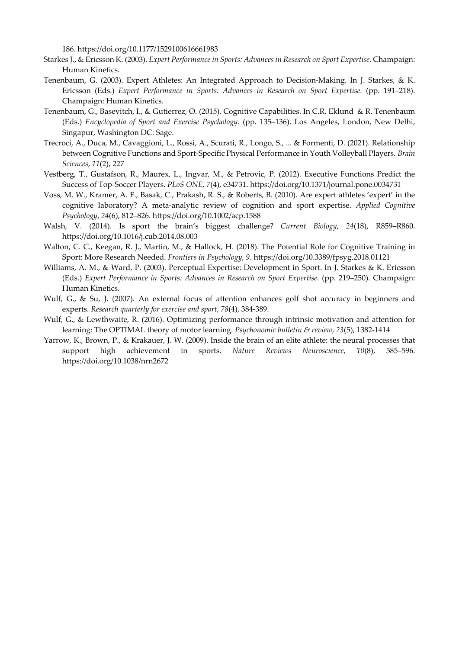186. https://doi.org/10.1177/1529100616661983

- Starkes J., & Ericsson K. (2003). *Expert Performance in Sports: Advances in Research on Sport Expertise.* Champaign: Human Kinetics.
- Tenenbaum, G. (2003). Expert Athletes: An Integrated Approach to Decision-Making. In J. Starkes, & K. Ericsson (Eds.) *Expert Performance in Sports: Advances in Research on Sport Expertise.* (pp. 191–218). Champaign: Human Kinetics.
- Tenenbaum, G., Basevitch, I., & Gutierrez, O. (2015). Cognitive Capabilities. In C.R. Eklund & R. Tenenbaum (Eds.) *Encyclopedia of Sport and Exercise Psychology.* (pp. 135–136). Los Angeles, London, New Delhi, Singapur, Washington DC: Sage.
- Trecroci, A., Duca, M., Cavaggioni, L., Rossi, A., Scurati, R., Longo, S., ... & Formenti, D. (2021). Relationship between Cognitive Functions and Sport-Specific Physical Performance in Youth Volleyball Players. *Brain Sciences*, *11*(2), 227
- Vestberg, T., Gustafson, R., Maurex, L., Ingvar, M., & Petrovic, P. (2012). Executive Functions Predict the Success of Top-Soccer Players. *PLoS ONE*, *7*(4), e34731. https://doi.org/10.1371/journal.pone.0034731
- Voss, M. W., Kramer, A. F., Basak, C., Prakash, R. S., & Roberts, B. (2010). Are expert athletes 'expert' in the cognitive laboratory? A meta-analytic review of cognition and sport expertise. *Applied Cognitive Psychology*, *24*(6), 812–826. https://doi.org/10.1002/acp.1588
- Walsh, V. (2014). Is sport the brain's biggest challenge? *Current Biology*, *24*(18), R859–R860. https://doi.org/10.1016/j.cub.2014.08.003
- Walton, C. C., Keegan, R. J., Martin, M., & Hallock, H. (2018). The Potential Role for Cognitive Training in Sport: More Research Needed. *Frontiers in Psychology*, *9*. https://doi.org/10.3389/fpsyg.2018.01121
- Williams, A. M., & Ward, P. (2003). Perceptual Expertise: Development in Sport. In J. Starkes & K. Ericsson (Eds.) *Expert Performance in Sports: Advances in Research on Sport Expertise.* (pp. 219–250). Champaign: Human Kinetics.
- Wulf, G., & Su, J. (2007). An external focus of attention enhances golf shot accuracy in beginners and experts. *Research quarterly for exercise and sport*, *78*(4), 384-389.
- Wulf, G., & Lewthwaite, R. (2016). Optimizing performance through intrinsic motivation and attention for learning: The OPTIMAL theory of motor learning. *Psychonomic bulletin & review*, *23*(5), 1382-1414
- Yarrow, K., Brown, P., & Krakauer, J. W. (2009). Inside the brain of an elite athlete: the neural processes that support high achievement in sports. *Nature Reviews Neuroscience*, *10*(8), 585–596. https://doi.org/10.1038/nrn2672